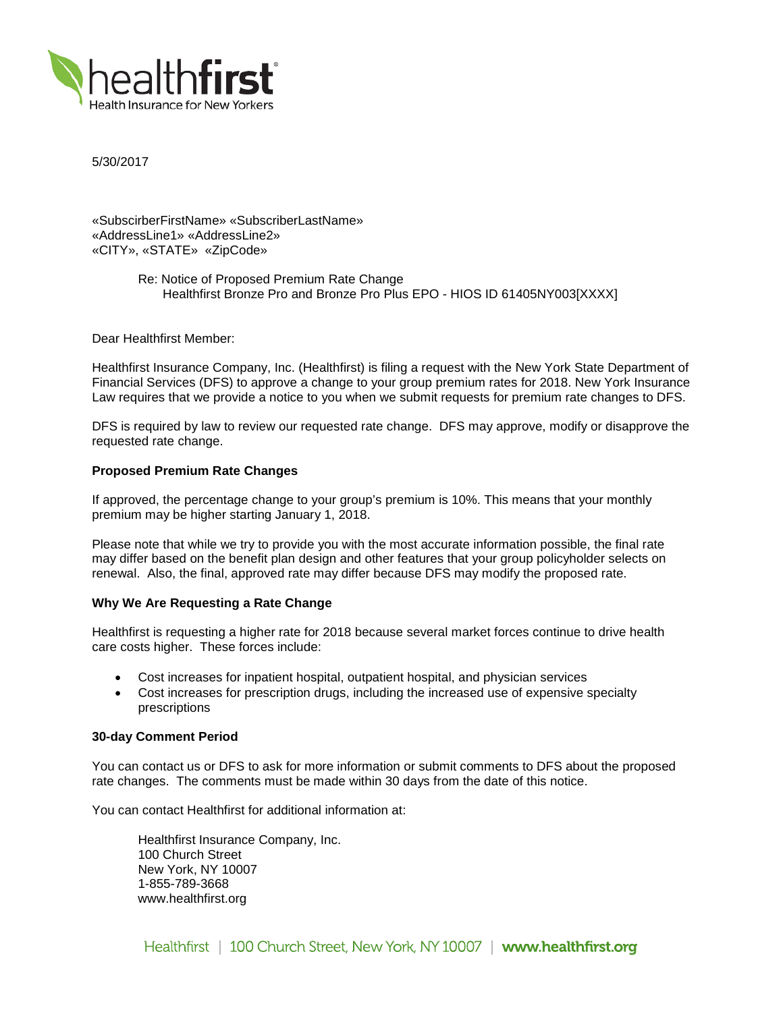

5/30/2017

«SubscirberFirstName» «SubscriberLastName» «AddressLine1» «AddressLine2» «CITY», «STATE» «ZipCode»

> Re: Notice of Proposed Premium Rate Change Healthfirst Bronze Pro and Bronze Pro Plus EPO - HIOS ID 61405NY003[XXXX]

Dear Healthfirst Member:

Healthfirst Insurance Company, Inc. (Healthfirst) is filing a request with the New York State Department of Financial Services (DFS) to approve a change to your group premium rates for 2018. New York Insurance Law requires that we provide a notice to you when we submit requests for premium rate changes to DFS.

DFS is required by law to review our requested rate change. DFS may approve, modify or disapprove the requested rate change.

## **Proposed Premium Rate Changes**

If approved, the percentage change to your group's premium is 10%. This means that your monthly premium may be higher starting January 1, 2018.

Please note that while we try to provide you with the most accurate information possible, the final rate may differ based on the benefit plan design and other features that your group policyholder selects on renewal. Also, the final, approved rate may differ because DFS may modify the proposed rate.

#### **Why We Are Requesting a Rate Change**

Healthfirst is requesting a higher rate for 2018 because several market forces continue to drive health care costs higher. These forces include:

- Cost increases for inpatient hospital, outpatient hospital, and physician services
- Cost increases for prescription drugs, including the increased use of expensive specialty prescriptions

### **30-day Comment Period**

You can contact us or DFS to ask for more information or submit comments to DFS about the proposed rate changes. The comments must be made within 30 days from the date of this notice.

You can contact Healthfirst for additional information at:

Healthfirst Insurance Company, Inc. 100 Church Street New York, NY 10007 1-855-789-3668 www.healthfirst.org